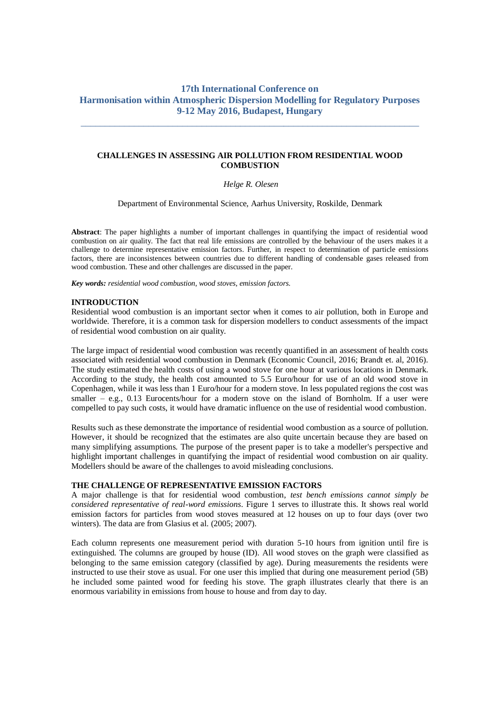# **17th International Conference on Harmonisation within Atmospheric Dispersion Modelling for Regulatory Purposes 9-12 May 2016, Budapest, Hungary**

\_\_\_\_\_\_\_\_\_\_\_\_\_\_\_\_\_\_\_\_\_\_\_\_\_\_\_\_\_\_\_\_\_\_\_\_\_\_\_\_\_\_\_\_\_\_\_\_\_\_\_\_\_\_\_\_\_\_\_\_\_\_\_\_\_\_\_\_\_\_

# **CHALLENGES IN ASSESSING AIR POLLUTION FROM RESIDENTIAL WOOD COMBUSTION**

#### *Helge R. Olesen*

Department of Environmental Science, Aarhus University, Roskilde, Denmark

**Abstract**: The paper highlights a number of important challenges in quantifying the impact of residential wood combustion on air quality. The fact that real life emissions are controlled by the behaviour of the users makes it a challenge to determine representative emission factors. Further, in respect to determination of particle emissions factors, there are inconsistences between countries due to different handling of condensable gases released from wood combustion. These and other challenges are discussed in the paper.

*Key words: residential wood combustion, wood stoves, emission factors.*

#### **INTRODUCTION**

Residential wood combustion is an important sector when it comes to air pollution, both in Europe and worldwide. Therefore, it is a common task for dispersion modellers to conduct assessments of the impact of residential wood combustion on air quality.

The large impact of residential wood combustion was recently quantified in an assessment of health costs associated with residential wood combustion in Denmark (Economic Council, 2016; Brandt et. al, 2016). The study estimated the health costs of using a wood stove for one hour at various locations in Denmark. According to the study, the health cost amounted to 5.5 Euro/hour for use of an old wood stove in Copenhagen, while it was less than 1 Euro/hour for a modern stove. In less populated regions the cost was smaller – e.g., 0.13 Eurocents/hour for a modern stove on the island of Bornholm. If a user were compelled to pay such costs, it would have dramatic influence on the use of residential wood combustion.

Results such as these demonstrate the importance of residential wood combustion as a source of pollution. However, it should be recognized that the estimates are also quite uncertain because they are based on many simplifying assumptions. The purpose of the present paper is to take a modeller's perspective and highlight important challenges in quantifying the impact of residential wood combustion on air quality. Modellers should be aware of the challenges to avoid misleading conclusions.

#### **THE CHALLENGE OF REPRESENTATIVE EMISSION FACTORS**

A major challenge is that for residential wood combustion, *test bench emissions cannot simply be considered representative of real-word emissions*. Figure 1 serves to illustrate this. It shows real world emission factors for particles from wood stoves measured at 12 houses on up to four days (over two winters). The data are from Glasius et al. (2005; 2007).

Each column represents one measurement period with duration 5-10 hours from ignition until fire is extinguished. The columns are grouped by house (ID). All wood stoves on the graph were classified as belonging to the same emission category (classified by age). During measurements the residents were instructed to use their stove as usual. For one user this implied that during one measurement period (5B) he included some painted wood for feeding his stove. The graph illustrates clearly that there is an enormous variability in emissions from house to house and from day to day.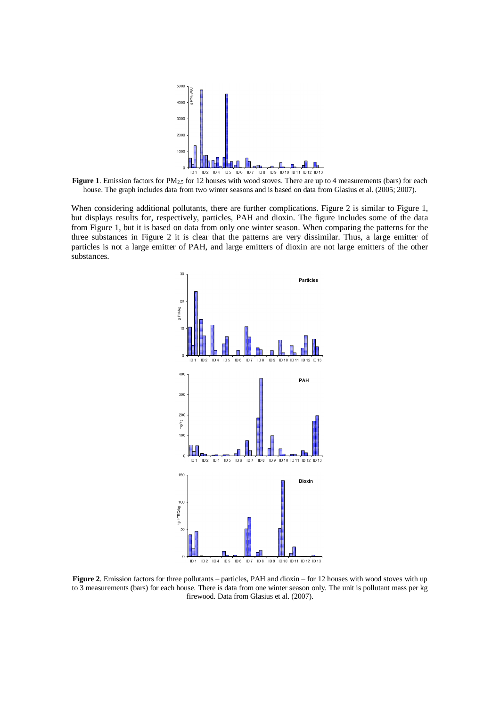

**Figure 1**. Emission factors for PM<sub>2.5</sub> for 12 houses with wood stoves. There are up to 4 measurements (bars) for each house. The graph includes data from two winter seasons and is based on data from Glasius et al. (2005; 2007).

When considering additional pollutants, there are further complications. Figure 2 is similar to Figure 1, but displays results for, respectively, particles, PAH and dioxin. The figure includes some of the data from Figure 1, but it is based on data from only one winter season. When comparing the patterns for the three substances in Figure 2 it is clear that the patterns are very dissimilar. Thus, a large emitter of particles is not a large emitter of PAH, and large emitters of dioxin are not large emitters of the other substances.



**Figure 2**. Emission factors for three pollutants – particles, PAH and dioxin – for 12 houses with wood stoves with up to 3 measurements (bars) for each house. There is data from one winter season only. The unit is pollutant mass per kg firewood. Data from Glasius et al. (2007).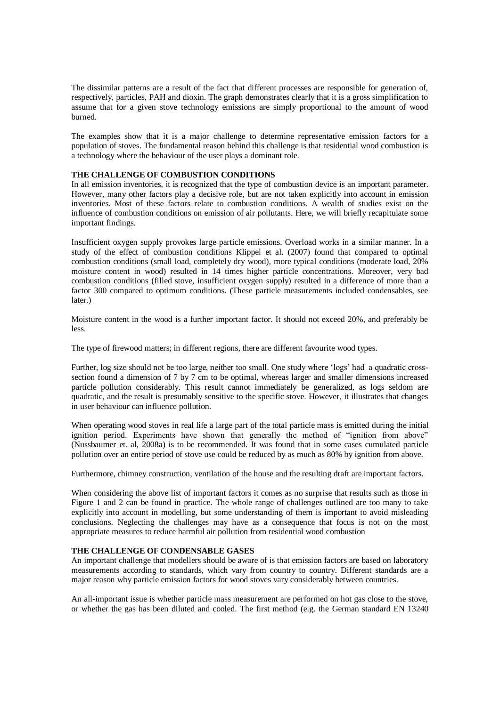The dissimilar patterns are a result of the fact that different processes are responsible for generation of, respectively, particles, PAH and dioxin. The graph demonstrates clearly that it is a gross simplification to assume that for a given stove technology emissions are simply proportional to the amount of wood burned.

The examples show that it is a major challenge to determine representative emission factors for a population of stoves. The fundamental reason behind this challenge is that residential wood combustion is a technology where the behaviour of the user plays a dominant role.

### **THE CHALLENGE OF COMBUSTION CONDITIONS**

In all emission inventories, it is recognized that the type of combustion device is an important parameter. However, many other factors play a decisive role, but are not taken explicitly into account in emission inventories. Most of these factors relate to combustion conditions. A wealth of studies exist on the influence of combustion conditions on emission of air pollutants. Here, we will briefly recapitulate some important findings.

Insufficient oxygen supply provokes large particle emissions. Overload works in a similar manner. In a study of the effect of combustion conditions Klippel et al. (2007) found that compared to optimal combustion conditions (small load, completely dry wood), more typical conditions (moderate load, 20% moisture content in wood) resulted in 14 times higher particle concentrations. Moreover, very bad combustion conditions (filled stove, insufficient oxygen supply) resulted in a difference of more than a factor 300 compared to optimum conditions. (These particle measurements included condensables, see later.)

Moisture content in the wood is a further important factor. It should not exceed 20%, and preferably be less.

The type of firewood matters; in different regions, there are different favourite wood types.

Further, log size should not be too large, neither too small. One study where 'logs' had a quadratic crosssection found a dimension of 7 by 7 cm to be optimal, whereas larger and smaller dimensions increased particle pollution considerably. This result cannot immediately be generalized, as logs seldom are quadratic, and the result is presumably sensitive to the specific stove. However, it illustrates that changes in user behaviour can influence pollution.

When operating wood stoves in real life a large part of the total particle mass is emitted during the initial ignition period. Experiments have shown that generally the method of "ignition from above" (Nussbaumer et. al, 2008a) is to be recommended. It was found that in some cases cumulated particle pollution over an entire period of stove use could be reduced by as much as 80% by ignition from above.

Furthermore, chimney construction, ventilation of the house and the resulting draft are important factors.

When considering the above list of important factors it comes as no surprise that results such as those in Figure 1 and 2 can be found in practice. The whole range of challenges outlined are too many to take explicitly into account in modelling, but some understanding of them is important to avoid misleading conclusions. Neglecting the challenges may have as a consequence that focus is not on the most appropriate measures to reduce harmful air pollution from residential wood combustion

# **THE CHALLENGE OF CONDENSABLE GASES**

An important challenge that modellers should be aware of is that emission factors are based on laboratory measurements according to standards, which vary from country to country. Different standards are a major reason why particle emission factors for wood stoves vary considerably between countries.

An all-important issue is whether particle mass measurement are performed on hot gas close to the stove, or whether the gas has been diluted and cooled. The first method (e.g. the German standard EN 13240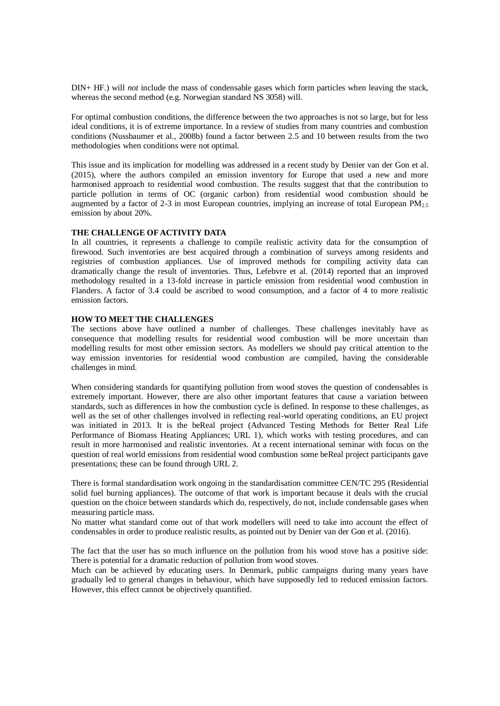DIN+ HF.) will *not* include the mass of condensable gases which form particles when leaving the stack, whereas the second method (e.g. Norwegian standard NS 3058) will.

For optimal combustion conditions, the difference between the two approaches is not so large, but for less ideal conditions, it is of extreme importance. In a review of studies from many countries and combustion conditions (Nussbaumer et al., 2008b) found a factor between 2.5 and 10 between results from the two methodologies when conditions were not optimal.

This issue and its implication for modelling was addressed in a recent study by Denier van der Gon et al. (2015), where the authors compiled an emission inventory for Europe that used a new and more harmonised approach to residential wood combustion. The results suggest that that the contribution to particle pollution in terms of OC (organic carbon) from residential wood combustion should be augmented by a factor of 2-3 in most European countries, implying an increase of total European  $PM_{2.5}$ emission by about 20%.

## **THE CHALLENGE OF ACTIVITY DATA**

In all countries, it represents a challenge to compile realistic activity data for the consumption of firewood. Such inventories are best acquired through a combination of surveys among residents and registries of combustion appliances. Use of improved methods for compiling activity data can dramatically change the result of inventories. Thus, Lefebvre et al. (2014) reported that an improved methodology resulted in a 13-fold increase in particle emission from residential wood combustion in Flanders. A factor of 3.4 could be ascribed to wood consumption, and a factor of 4 to more realistic emission factors.

## **HOW TO MEET THE CHALLENGES**

The sections above have outlined a number of challenges. These challenges inevitably have as consequence that modelling results for residential wood combustion will be more uncertain than modelling results for most other emission sectors. As modellers we should pay critical attention to the way emission inventories for residential wood combustion are compiled, having the considerable challenges in mind.

When considering standards for quantifying pollution from wood stoves the question of condensables is extremely important. However, there are also other important features that cause a variation between standards, such as differences in how the combustion cycle is defined. In response to these challenges, as well as the set of other challenges involved in reflecting real-world operating conditions, an EU project was initiated in 2013. It is the beReal project (Advanced Testing Methods for Better Real Life Performance of Biomass Heating Appliances; URL 1), which works with testing procedures, and can result in more harmonised and realistic inventories. At a recent international seminar with focus on the question of real world emissions from residential wood combustion some beReal project participants gave presentations; these can be found through URL 2.

There is formal standardisation work ongoing in the standardisation committee CEN/TC 295 (Residential solid fuel burning appliances). The outcome of that work is important because it deals with the crucial question on the choice between standards which do, respectively, do not, include condensable gases when measuring particle mass.

No matter what standard come out of that work modellers will need to take into account the effect of condensables in order to produce realistic results, as pointed out by Denier van der Gon et al. (2016).

The fact that the user has so much influence on the pollution from his wood stove has a positive side: There is potential for a dramatic reduction of pollution from wood stoves.

Much can be achieved by educating users. In Denmark, public campaigns during many years have gradually led to general changes in behaviour, which have supposedly led to reduced emission factors. However, this effect cannot be objectively quantified.